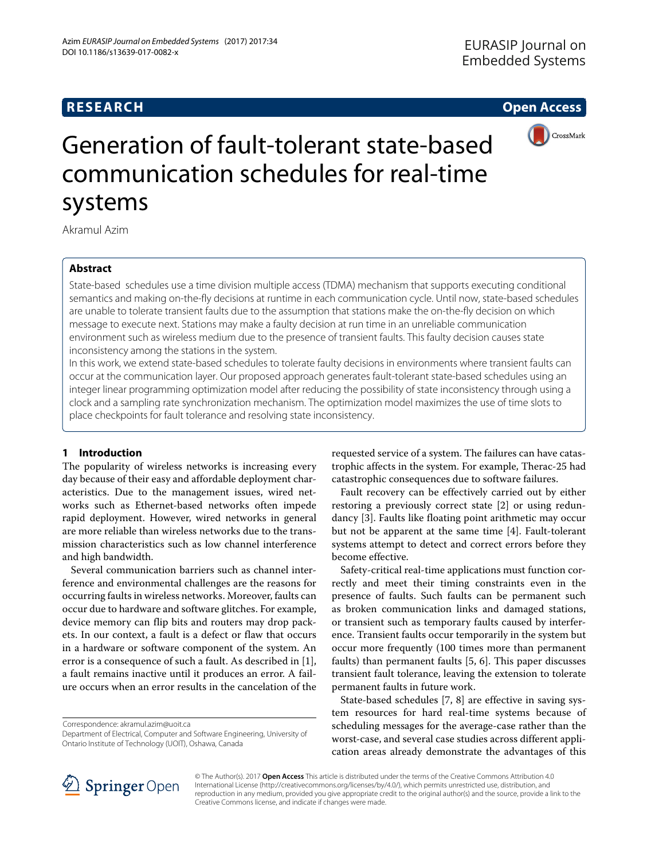# **RESEARCH Open Access**



# Generation of fault-tolerant state-based communication schedules for real-time systems

Akramul Azim

#### **Abstract**

State-based schedules use a time division multiple access (TDMA) mechanism that supports executing conditional semantics and making on-the-fly decisions at runtime in each communication cycle. Until now, state-based schedules are unable to tolerate transient faults due to the assumption that stations make the on-the-fly decision on which message to execute next. Stations may make a faulty decision at run time in an unreliable communication environment such as wireless medium due to the presence of transient faults. This faulty decision causes state inconsistency among the stations in the system.

In this work, we extend state-based schedules to tolerate faulty decisions in environments where transient faults can occur at the communication layer. Our proposed approach generates fault-tolerant state-based schedules using an integer linear programming optimization model after reducing the possibility of state inconsistency through using a clock and a sampling rate synchronization mechanism. The optimization model maximizes the use of time slots to place checkpoints for fault tolerance and resolving state inconsistency.

#### **1 Introduction**

The popularity of wireless networks is increasing every day because of their easy and affordable deployment characteristics. Due to the management issues, wired networks such as Ethernet-based networks often impede rapid deployment. However, wired networks in general are more reliable than wireless networks due to the transmission characteristics such as low channel interference and high bandwidth.

Several communication barriers such as channel interference and environmental challenges are the reasons for occurring faults in wireless networks. Moreover, faults can occur due to hardware and software glitches. For example, device memory can flip bits and routers may drop packets. In our context, a fault is a defect or flaw that occurs in a hardware or software component of the system. An error is a consequence of such a fault. As described in [\[1\]](#page-11-0), a fault remains inactive until it produces an error. A failure occurs when an error results in the cancelation of the

Correspondence: [akramul.azim@uoit.ca](mailto: akramul.azim@uoit.ca)

Department of Electrical, Computer and Software Engineering, University of Ontario Institute of Technology (UOIT), Oshawa, Canada

requested service of a system. The failures can have catastrophic affects in the system. For example, Therac-25 had catastrophic consequences due to software failures.

Fault recovery can be effectively carried out by either restoring a previously correct state [\[2\]](#page-11-1) or using redundancy [\[3\]](#page-11-2). Faults like floating point arithmetic may occur but not be apparent at the same time [\[4\]](#page-11-3). Fault-tolerant systems attempt to detect and correct errors before they become effective.

Safety-critical real-time applications must function correctly and meet their timing constraints even in the presence of faults. Such faults can be permanent such as broken communication links and damaged stations, or transient such as temporary faults caused by interference. Transient faults occur temporarily in the system but occur more frequently (100 times more than permanent faults) than permanent faults [\[5,](#page-11-4) [6\]](#page-11-5). This paper discusses transient fault tolerance, leaving the extension to tolerate permanent faults in future work.

State-based schedules [\[7,](#page-11-6) [8\]](#page-11-7) are effective in saving system resources for hard real-time systems because of scheduling messages for the average-case rather than the worst-case, and several case studies across different application areas already demonstrate the advantages of this



© The Author(s). 2017 **Open Access** This article is distributed under the terms of the Creative Commons Attribution 4.0 International License [\(http://creativecommons.org/licenses/by/4.0/\)](http://creativecommons.org/licenses/by/4.0/), which permits unrestricted use, distribution, and reproduction in any medium, provided you give appropriate credit to the original author(s) and the source, provide a link to the Creative Commons license, and indicate if changes were made.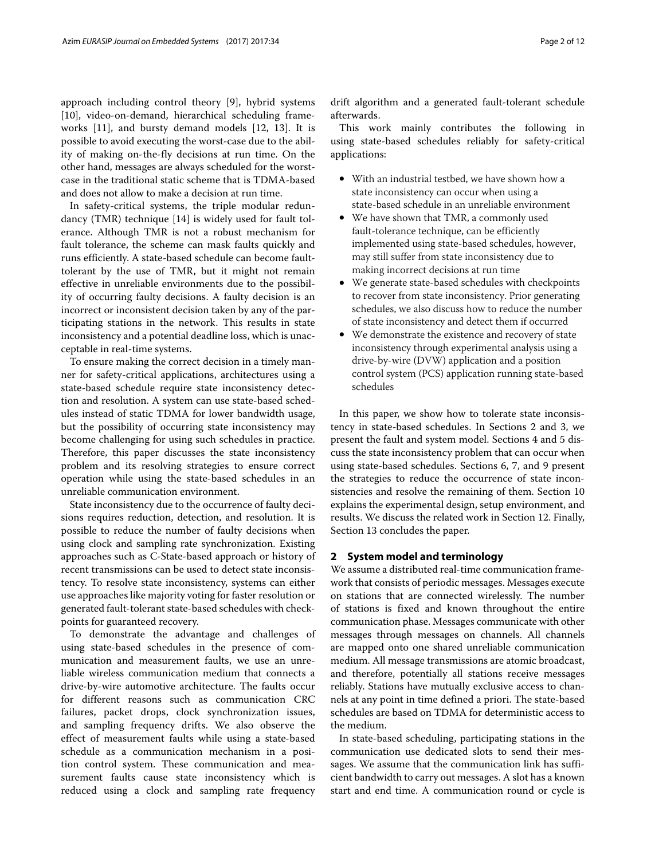approach including control theory [\[9\]](#page-11-8), hybrid systems [\[10\]](#page-11-9), video-on-demand, hierarchical scheduling frameworks [\[11\]](#page-11-10), and bursty demand models [\[12,](#page-11-11) [13\]](#page-11-12). It is possible to avoid executing the worst-case due to the ability of making on-the-fly decisions at run time. On the other hand, messages are always scheduled for the worstcase in the traditional static scheme that is TDMA-based and does not allow to make a decision at run time.

In safety-critical systems, the triple modular redundancy (TMR) technique [\[14\]](#page-11-13) is widely used for fault tolerance. Although TMR is not a robust mechanism for fault tolerance, the scheme can mask faults quickly and runs efficiently. A state-based schedule can become faulttolerant by the use of TMR, but it might not remain effective in unreliable environments due to the possibility of occurring faulty decisions. A faulty decision is an incorrect or inconsistent decision taken by any of the participating stations in the network. This results in state inconsistency and a potential deadline loss, which is unacceptable in real-time systems.

To ensure making the correct decision in a timely manner for safety-critical applications, architectures using a state-based schedule require state inconsistency detection and resolution. A system can use state-based schedules instead of static TDMA for lower bandwidth usage, but the possibility of occurring state inconsistency may become challenging for using such schedules in practice. Therefore, this paper discusses the state inconsistency problem and its resolving strategies to ensure correct operation while using the state-based schedules in an unreliable communication environment.

State inconsistency due to the occurrence of faulty decisions requires reduction, detection, and resolution. It is possible to reduce the number of faulty decisions when using clock and sampling rate synchronization. Existing approaches such as C-State-based approach or history of recent transmissions can be used to detect state inconsistency. To resolve state inconsistency, systems can either use approaches like majority voting for faster resolution or generated fault-tolerant state-based schedules with checkpoints for guaranteed recovery.

To demonstrate the advantage and challenges of using state-based schedules in the presence of communication and measurement faults, we use an unreliable wireless communication medium that connects a drive-by-wire automotive architecture. The faults occur for different reasons such as communication CRC failures, packet drops, clock synchronization issues, and sampling frequency drifts. We also observe the effect of measurement faults while using a state-based schedule as a communication mechanism in a position control system. These communication and measurement faults cause state inconsistency which is reduced using a clock and sampling rate frequency

drift algorithm and a generated fault-tolerant schedule afterwards.

This work mainly contributes the following in using state-based schedules reliably for safety-critical applications:

- With an industrial testbed, we have shown how a state inconsistency can occur when using a state-based schedule in an unreliable environment
- We have shown that TMR, a commonly used fault-tolerance technique, can be efficiently implemented using state-based schedules, however, may still suffer from state inconsistency due to making incorrect decisions at run time
- We generate state-based schedules with checkpoints to recover from state inconsistency. Prior generating schedules, we also discuss how to reduce the number of state inconsistency and detect them if occurred
- We demonstrate the existence and recovery of state inconsistency through experimental analysis using a drive-by-wire (DVW) application and a position control system (PCS) application running state-based schedules

In this paper, we show how to tolerate state inconsistency in state-based schedules. In Sections [2](#page-1-0) and [3,](#page-2-0) we present the fault and system model. Sections [4](#page-2-1) and [5](#page-3-0) discuss the state inconsistency problem that can occur when using state-based schedules. Sections [6,](#page-3-1) [7,](#page-3-2) and [9](#page-5-0) present the strategies to reduce the occurrence of state inconsistencies and resolve the remaining of them. Section [10](#page-7-0) explains the experimental design, setup environment, and results. We discuss the related work in Section [12.](#page-10-0) Finally, Section [13](#page-10-1) concludes the paper.

#### <span id="page-1-0"></span>**2 System model and terminology**

We assume a distributed real-time communication framework that consists of periodic messages. Messages execute on stations that are connected wirelessly. The number of stations is fixed and known throughout the entire communication phase. Messages communicate with other messages through messages on channels. All channels are mapped onto one shared unreliable communication medium. All message transmissions are atomic broadcast, and therefore, potentially all stations receive messages reliably. Stations have mutually exclusive access to channels at any point in time defined a priori. The state-based schedules are based on TDMA for deterministic access to the medium.

In state-based scheduling, participating stations in the communication use dedicated slots to send their messages. We assume that the communication link has sufficient bandwidth to carry out messages. A slot has a known start and end time. A communication round or cycle is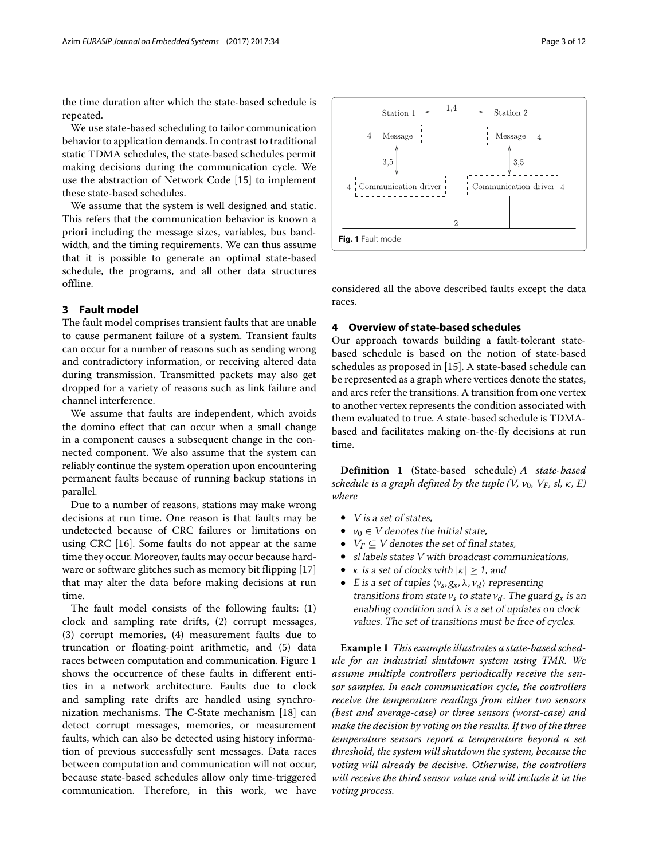the time duration after which the state-based schedule is repeated.

We use state-based scheduling to tailor communication behavior to application demands. In contrast to traditional static TDMA schedules, the state-based schedules permit making decisions during the communication cycle. We use the abstraction of Network Code [\[15\]](#page-11-14) to implement these state-based schedules.

We assume that the system is well designed and static. This refers that the communication behavior is known a priori including the message sizes, variables, bus bandwidth, and the timing requirements. We can thus assume that it is possible to generate an optimal state-based schedule, the programs, and all other data structures offline.

#### <span id="page-2-0"></span>**3 Fault model**

The fault model comprises transient faults that are unable to cause permanent failure of a system. Transient faults can occur for a number of reasons such as sending wrong and contradictory information, or receiving altered data during transmission. Transmitted packets may also get dropped for a variety of reasons such as link failure and channel interference.

We assume that faults are independent, which avoids the domino effect that can occur when a small change in a component causes a subsequent change in the connected component. We also assume that the system can reliably continue the system operation upon encountering permanent faults because of running backup stations in parallel.

Due to a number of reasons, stations may make wrong decisions at run time. One reason is that faults may be undetected because of CRC failures or limitations on using CRC [\[16\]](#page-11-15). Some faults do not appear at the same time they occur. Moreover, faults may occur because hardware or software glitches such as memory bit flipping [\[17\]](#page-11-16) that may alter the data before making decisions at run time.

The fault model consists of the following faults: (1) clock and sampling rate drifts, (2) corrupt messages, (3) corrupt memories, (4) measurement faults due to truncation or floating-point arithmetic, and (5) data races between computation and communication. Figure [1](#page-2-2) shows the occurrence of these faults in different entities in a network architecture. Faults due to clock and sampling rate drifts are handled using synchronization mechanisms. The C-State mechanism [\[18\]](#page-11-17) can detect corrupt messages, memories, or measurement faults, which can also be detected using history information of previous successfully sent messages. Data races between computation and communication will not occur, because state-based schedules allow only time-triggered communication. Therefore, in this work, we have



<span id="page-2-2"></span>considered all the above described faults except the data races.

#### <span id="page-2-1"></span>**4 Overview of state-based schedules**

Our approach towards building a fault-tolerant statebased schedule is based on the notion of state-based schedules as proposed in [\[15\]](#page-11-14). A state-based schedule can be represented as a graph where vertices denote the states, and arcs refer the transitions. A transition from one vertex to another vertex represents the condition associated with them evaluated to true. A state-based schedule is TDMAbased and facilitates making on-the-fly decisions at run time.

**Definition 1** (State-based schedule) *A state-based schedule is a graph defined by the tuple*  $(V, v_0, V_F, sl, \kappa, E)$ *where*

- $\bullet$  V is a set of states,
- $v_0 \in V$  denotes the initial state,<br>•  $V_r \subset V$  denotes the set of final
- $V_F \subseteq V$  denotes the set of final states,
- sl labels states <sup>V</sup> with broadcast communications,
- $\kappa$  is a set of clocks with  $|\kappa| > 1$ , and
- E is a set of tuples  $\langle v_s, g_x, \lambda, v_d \rangle$  representing transitions from state  $v_s$  to state  $v_d$ . The guard  $g_x$  is an enabling condition and  $\lambda$  is a set of updates on clock values. The set of transitions must be free of cycles.

<span id="page-2-3"></span>**Example 1** *This example illustrates a state-based schedule for an industrial shutdown system using TMR. We assume multiple controllers periodically receive the sensor samples. In each communication cycle, the controllers receive the temperature readings from either two sensors (best and average-case) or three sensors (worst-case) and make the decision by voting on the results. If two of the three temperature sensors report a temperature beyond a set threshold, the system will shutdown the system, because the voting will already be decisive. Otherwise, the controllers will receive the third sensor value and will include it in the voting process.*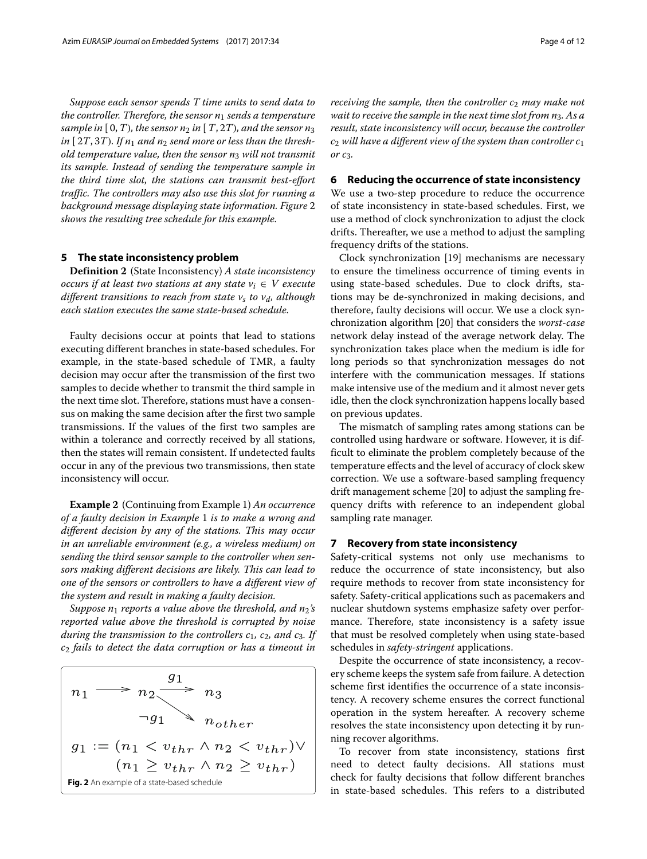*Suppose each sensor spends T time units to send data to the controller. Therefore, the sensor n*<sup>1</sup> *sends a temperature sample in* [0, *T*)*, the sensor*  $n_2$  *in* [*T*, 2*T*)*, and the sensor*  $n_3$ in  $[2T, 3T)$ *. If*  $n_1$  *and*  $n_2$  *send more or less than the threshold temperature value, then the sensor n*<sup>3</sup> *will not transmit its sample. Instead of sending the temperature sample in the third time slot, the stations can transmit best-effort traffic. The controllers may also use this slot for running a background message displaying state information. Figure* [2](#page-3-3) *shows the resulting tree schedule for this example.*

#### <span id="page-3-0"></span>**5 The state inconsistency problem**

**Definition 2** (State Inconsistency) *A state inconsistency occurs if at least two stations at any state*  $v_i \in V$  execute *different transitions to reach from state*  $v_s$  *to*  $v_d$ *, although each station executes the same state-based schedule.*

Faulty decisions occur at points that lead to stations executing different branches in state-based schedules. For example, in the state-based schedule of TMR, a faulty decision may occur after the transmission of the first two samples to decide whether to transmit the third sample in the next time slot. Therefore, stations must have a consensus on making the same decision after the first two sample transmissions. If the values of the first two samples are within a tolerance and correctly received by all stations, then the states will remain consistent. If undetected faults occur in any of the previous two transmissions, then state inconsistency will occur.

<span id="page-3-4"></span>**Example 2** (Continuing from Example [1\)](#page-2-3) *An occurrence of a faulty decision in Example* [1](#page-2-3) *is to make a wrong and different decision by any of the stations. This may occur in an unreliable environment (e.g., a wireless medium) on sending the third sensor sample to the controller when sensors making different decisions are likely. This can lead to one of the sensors or controllers to have a different view of the system and result in making a faulty decision.*

*Suppose*  $n_1$  *reports a value above the threshold, and*  $n_2$ *'s reported value above the threshold is corrupted by noise during the transmission to the controllers c*1*, c*2*, and c*3*. If c*<sup>2</sup> *fails to detect the data corruption or has a timeout in*

<span id="page-3-3"></span>

*receiving the sample, then the controller c*<sup>2</sup> *may make not wait to receive the sample in the next time slot from n*3*. As a result, state inconsistency will occur, because the controller c*<sup>2</sup> *will have a different view of the system than controller c*<sup>1</sup> *or c*3*.*

#### <span id="page-3-1"></span>**6 Reducing the occurrence of state inconsistency**

We use a two-step procedure to reduce the occurrence of state inconsistency in state-based schedules. First, we use a method of clock synchronization to adjust the clock drifts. Thereafter, we use a method to adjust the sampling frequency drifts of the stations.

Clock synchronization [\[19\]](#page-11-18) mechanisms are necessary to ensure the timeliness occurrence of timing events in using state-based schedules. Due to clock drifts, stations may be de-synchronized in making decisions, and therefore, faulty decisions will occur. We use a clock synchronization algorithm [\[20\]](#page-11-19) that considers the *worst-case* network delay instead of the average network delay. The synchronization takes place when the medium is idle for long periods so that synchronization messages do not interfere with the communication messages. If stations make intensive use of the medium and it almost never gets idle, then the clock synchronization happens locally based on previous updates.

The mismatch of sampling rates among stations can be controlled using hardware or software. However, it is difficult to eliminate the problem completely because of the temperature effects and the level of accuracy of clock skew correction. We use a software-based sampling frequency drift management scheme [\[20\]](#page-11-19) to adjust the sampling frequency drifts with reference to an independent global sampling rate manager.

#### <span id="page-3-2"></span>**7 Recovery from state inconsistency**

Safety-critical systems not only use mechanisms to reduce the occurrence of state inconsistency, but also require methods to recover from state inconsistency for safety. Safety-critical applications such as pacemakers and nuclear shutdown systems emphasize safety over performance. Therefore, state inconsistency is a safety issue that must be resolved completely when using state-based schedules in *safety-stringent* applications.

Despite the occurrence of state inconsistency, a recovery scheme keeps the system safe from failure. A detection scheme first identifies the occurrence of a state inconsistency. A recovery scheme ensures the correct functional operation in the system hereafter. A recovery scheme resolves the state inconsistency upon detecting it by running recover algorithms.

To recover from state inconsistency, stations first need to detect faulty decisions. All stations must check for faulty decisions that follow different branches in state-based schedules. This refers to a distributed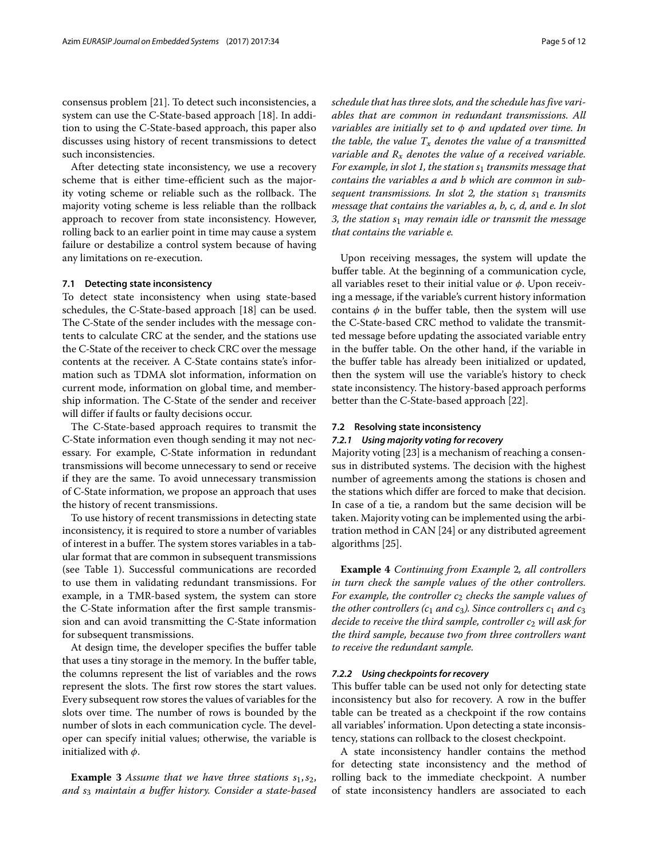consensus problem [\[21\]](#page-11-20). To detect such inconsistencies, a system can use the C-State-based approach [\[18\]](#page-11-17). In addition to using the C-State-based approach, this paper also discusses using history of recent transmissions to detect such inconsistencies.

After detecting state inconsistency, we use a recovery scheme that is either time-efficient such as the majority voting scheme or reliable such as the rollback. The majority voting scheme is less reliable than the rollback approach to recover from state inconsistency. However, rolling back to an earlier point in time may cause a system failure or destabilize a control system because of having any limitations on re-execution.

#### **7.1 Detecting state inconsistency**

To detect state inconsistency when using state-based schedules, the C-State-based approach [\[18\]](#page-11-17) can be used. The C-State of the sender includes with the message contents to calculate CRC at the sender, and the stations use the C-State of the receiver to check CRC over the message contents at the receiver. A C-State contains state's information such as TDMA slot information, information on current mode, information on global time, and membership information. The C-State of the sender and receiver will differ if faults or faulty decisions occur.

The C-State-based approach requires to transmit the C-State information even though sending it may not necessary. For example, C-State information in redundant transmissions will become unnecessary to send or receive if they are the same. To avoid unnecessary transmission of C-State information, we propose an approach that uses the history of recent transmissions.

To use history of recent transmissions in detecting state inconsistency, it is required to store a number of variables of interest in a buffer. The system stores variables in a tabular format that are common in subsequent transmissions (see Table [1\)](#page-7-1). Successful communications are recorded to use them in validating redundant transmissions. For example, in a TMR-based system, the system can store the C-State information after the first sample transmission and can avoid transmitting the C-State information for subsequent transmissions.

At design time, the developer specifies the buffer table that uses a tiny storage in the memory. In the buffer table, the columns represent the list of variables and the rows represent the slots. The first row stores the start values. Every subsequent row stores the values of variables for the slots over time. The number of rows is bounded by the number of slots in each communication cycle. The developer can specify initial values; otherwise, the variable is initialized with  $\phi$ .

**Example 3** *Assume that we have three stations s*1,*s*2, *and s*<sup>3</sup> *maintain a buffer history. Consider a state-based* *schedule that has three slots, and the schedule has five variables that are common in redundant transmissions. All variables are initially set to* φ *and updated over time. In the table, the value*  $T_x$  *denotes the value of a transmitted variable and Rx denotes the value of a received variable. For example, in slot 1, the station s*<sup>1</sup> *transmits message that contains the variables a and b which are common in subsequent transmissions. In slot 2, the station s*<sup>1</sup> *transmits message that contains the variables a, b, c, d, and e. In slot 3, the station s*<sup>1</sup> *may remain idle or transmit the message that contains the variable e.*

Upon receiving messages, the system will update the buffer table. At the beginning of a communication cycle, all variables reset to their initial value or  $\phi$ . Upon receiving a message, if the variable's current history information contains  $\phi$  in the buffer table, then the system will use the C-State-based CRC method to validate the transmitted message before updating the associated variable entry in the buffer table. On the other hand, if the variable in the buffer table has already been initialized or updated, then the system will use the variable's history to check state inconsistency. The history-based approach performs better than the C-State-based approach [\[22\]](#page-11-21).

#### **7.2 Resolving state inconsistency**

#### *7.2.1 Using majority voting for recovery*

Majority voting [\[23\]](#page-11-22) is a mechanism of reaching a consensus in distributed systems. The decision with the highest number of agreements among the stations is chosen and the stations which differ are forced to make that decision. In case of a tie, a random but the same decision will be taken. Majority voting can be implemented using the arbitration method in CAN [\[24\]](#page-11-23) or any distributed agreement algorithms [\[25\]](#page-11-24).

**Example 4** *Continuing from Example* [2](#page-3-4)*, all controllers in turn check the sample values of the other controllers. For example, the controller c*<sup>2</sup> *checks the sample values of the other controllers (c<sub>1</sub> and c<sub>3</sub>). Since controllers c<sub>1</sub> and c<sub>3</sub> decide to receive the third sample, controller c*<sup>2</sup> *will ask for the third sample, because two from three controllers want to receive the redundant sample.*

#### *7.2.2 Using checkpoints for recovery*

This buffer table can be used not only for detecting state inconsistency but also for recovery. A row in the buffer table can be treated as a checkpoint if the row contains all variables' information. Upon detecting a state inconsistency, stations can rollback to the closest checkpoint.

A state inconsistency handler contains the method for detecting state inconsistency and the method of rolling back to the immediate checkpoint. A number of state inconsistency handlers are associated to each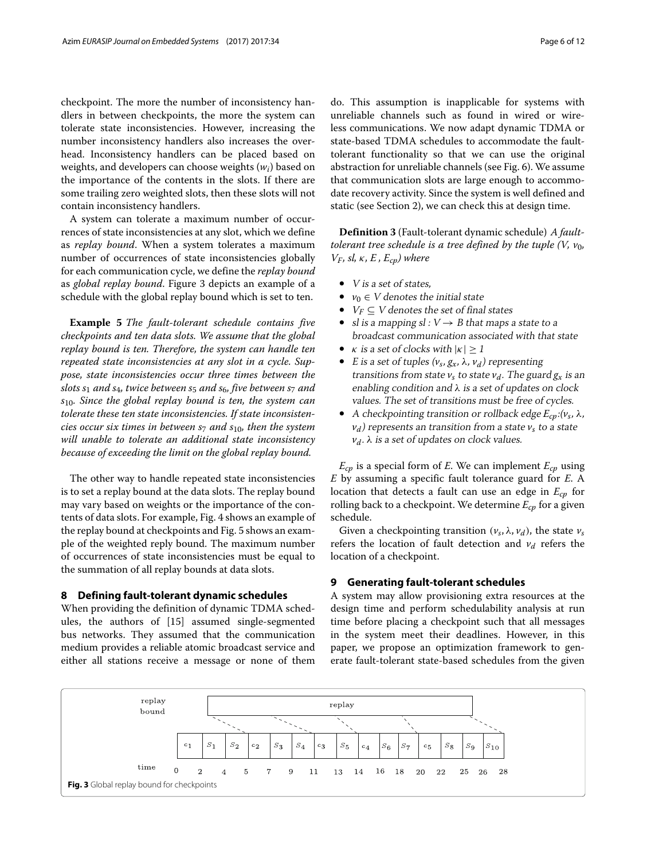checkpoint. The more the number of inconsistency handlers in between checkpoints, the more the system can tolerate state inconsistencies. However, increasing the number inconsistency handlers also increases the overhead. Inconsistency handlers can be placed based on weights, and developers can choose weights (*wi*) based on the importance of the contents in the slots. If there are some trailing zero weighted slots, then these slots will not contain inconsistency handlers.

A system can tolerate a maximum number of occurrences of state inconsistencies at any slot, which we define as *replay bound*. When a system tolerates a maximum number of occurrences of state inconsistencies globally for each communication cycle, we define the *replay bound* as *global replay bound*. Figure [3](#page-5-1) depicts an example of a schedule with the global replay bound which is set to ten.

**Example 5** *The fault-tolerant schedule contains five checkpoints and ten data slots. We assume that the global replay bound is ten. Therefore, the system can handle ten repeated state inconsistencies at any slot in a cycle. Suppose, state inconsistencies occur three times between the slots s*<sup>1</sup> *and s*4*, twice between s*<sup>5</sup> *and s*6*, five between s*<sup>7</sup> *and s*10*. Since the global replay bound is ten, the system can tolerate these ten state inconsistencies. If state inconsistencies occur six times in between s*<sup>7</sup> *and s*10*, then the system will unable to tolerate an additional state inconsistency because of exceeding the limit on the global replay bound.*

The other way to handle repeated state inconsistencies is to set a replay bound at the data slots. The replay bound may vary based on weights or the importance of the contents of data slots. For example, Fig. [4](#page-6-0) shows an example of the replay bound at checkpoints and Fig. [5](#page-6-1) shows an example of the weighted reply bound. The maximum number of occurrences of state inconsistencies must be equal to the summation of all replay bounds at data slots.

#### **8 Defining fault-tolerant dynamic schedules**

When providing the definition of dynamic TDMA schedules, the authors of [\[15\]](#page-11-14) assumed single-segmented bus networks. They assumed that the communication medium provides a reliable atomic broadcast service and either all stations receive a message or none of them

do. This assumption is inapplicable for systems with unreliable channels such as found in wired or wireless communications. We now adapt dynamic TDMA or state-based TDMA schedules to accommodate the faulttolerant functionality so that we can use the original abstraction for unreliable channels (see Fig. [6\)](#page-7-2). We assume that communication slots are large enough to accommodate recovery activity. Since the system is well defined and

**Definition 3** (Fault-tolerant dynamic schedule) *A faulttolerant tree schedule is a tree defined by the tuple*  $(V, v_0)$ *,*  $V_F$ *, sl, k, E, E<sub>cp</sub>)* where

static (see Section [2\)](#page-1-0), we can check this at design time.

- $\bullet$  V is a set of states.
- $v_0 \in V$  denotes the initial state
- $V_F \subseteq V$  denotes the set of final states<br>• sl is a manning sl ·  $V \rightarrow B$  that mans i
- sl is a mapping sl :  $V \rightarrow B$  that maps a state to a broadcast communication associated with that state
- $\kappa$  is a set of clocks with  $|\kappa| \ge 1$ <br>• E is a set of tuples  $(\nu_a, \sigma_a, \lambda, \nu_a)$
- *E* is a set of tuples  $(v_s, g_x, \lambda, v_d)$  representing transitions from state  $v_s$  to state  $v_d$ . The guard  $g_x$  is an enabling condition and  $\lambda$  is a set of updates on clock values. The set of transitions must be free of cycles.
- <sup>A</sup> checkpointing transition or rollback edge *Ecp*:(*vs*, λ,  $v_d$ ) represents an transition from a state  $v_s$  to a state  $v_d$ .  $\lambda$  is a set of updates on clock values.

*Ecp* is a special form of *E*. We can implement *Ecp* using *E* by assuming a specific fault tolerance guard for *E*. A location that detects a fault can use an edge in *Ecp* for rolling back to a checkpoint. We determine *Ecp* for a given schedule.

Given a checkpointing transition  $(v_s, \lambda, v_d)$ , the state  $v_s$ refers the location of fault detection and  $v_d$  refers the location of a checkpoint.

#### <span id="page-5-0"></span>**9 Generating fault-tolerant schedules**

A system may allow provisioning extra resources at the design time and perform schedulability analysis at run time before placing a checkpoint such that all messages in the system meet their deadlines. However, in this paper, we propose an optimization framework to generate fault-tolerant state-based schedules from the given

<span id="page-5-1"></span>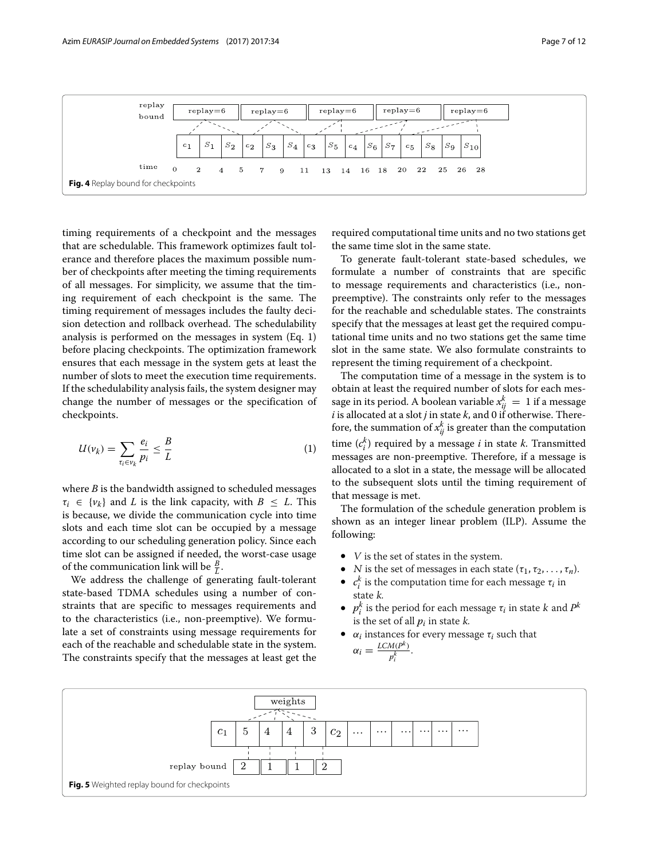

<span id="page-6-0"></span>timing requirements of a checkpoint and the messages that are schedulable. This framework optimizes fault tolerance and therefore places the maximum possible number of checkpoints after meeting the timing requirements of all messages. For simplicity, we assume that the timing requirement of each checkpoint is the same. The timing requirement of messages includes the faulty decision detection and rollback overhead. The schedulability analysis is performed on the messages in system (Eq. [1\)](#page-6-2) before placing checkpoints. The optimization framework ensures that each message in the system gets at least the number of slots to meet the execution time requirements. If the schedulability analysis fails, the system designer may change the number of messages or the specification of checkpoints.

<span id="page-6-2"></span>
$$
U(\nu_k) = \sum_{\tau_i \in \nu_k} \frac{e_i}{p_i} \le \frac{B}{L} \tag{1}
$$

where *B* is the bandwidth assigned to scheduled messages  $\tau_i \in \{v_k\}$  and *L* is the link capacity, with  $B \leq L$ . This is because, we divide the communication cycle into time slots and each time slot can be occupied by a message according to our scheduling generation policy. Since each time slot can be assigned if needed, the worst-case usage of the communication link will be  $\frac{B}{L}$ .

We address the challenge of generating fault-tolerant state-based TDMA schedules using a number of constraints that are specific to messages requirements and to the characteristics (i.e., non-preemptive). We formulate a set of constraints using message requirements for each of the reachable and schedulable state in the system. The constraints specify that the messages at least get the required computational time units and no two stations get the same time slot in the same state.

To generate fault-tolerant state-based schedules, we formulate a number of constraints that are specific to message requirements and characteristics (i.e., nonpreemptive). The constraints only refer to the messages for the reachable and schedulable states. The constraints specify that the messages at least get the required computational time units and no two stations get the same time slot in the same state. We also formulate constraints to represent the timing requirement of a checkpoint.

The computation time of a message in the system is to obtain at least the required number of slots for each message in its period. A boolean variable  $x_{ij}^k \ = \ 1$  if a message *i* is allocated at a slot *j* in state *k*, and 0 if otherwise. Therefore, the summation of  $x_{ij}^k$  is greater than the computation time  $(c_i^k)$  required by a message *i* in state *k*. Transmitted messages are non-preemptive. Therefore, if a message is allocated to a slot in a state, the message will be allocated to the subsequent slots until the timing requirement of that message is met.

The formulation of the schedule generation problem is shown as an integer linear problem (ILP). Assume the following:

- <sup>V</sup> is the set of states in the system.
- *N* is the set of messages in each state  $(\tau_1, \tau_2, \ldots, \tau_n)$ .
- $c_i^k$  is the computation time for each message  $\tau_i$  in state k.
- $p_i^k$  is the period for each message  $\tau_i$  in state k and  $P^k$ is the set of all  $p_i$  in state  $k$ .
- $\alpha_i$  instances for every message  $\tau_i$  such that  $\alpha_i = \frac{LCM(P^k)}{p_i^k}.$ 
	-

<span id="page-6-1"></span>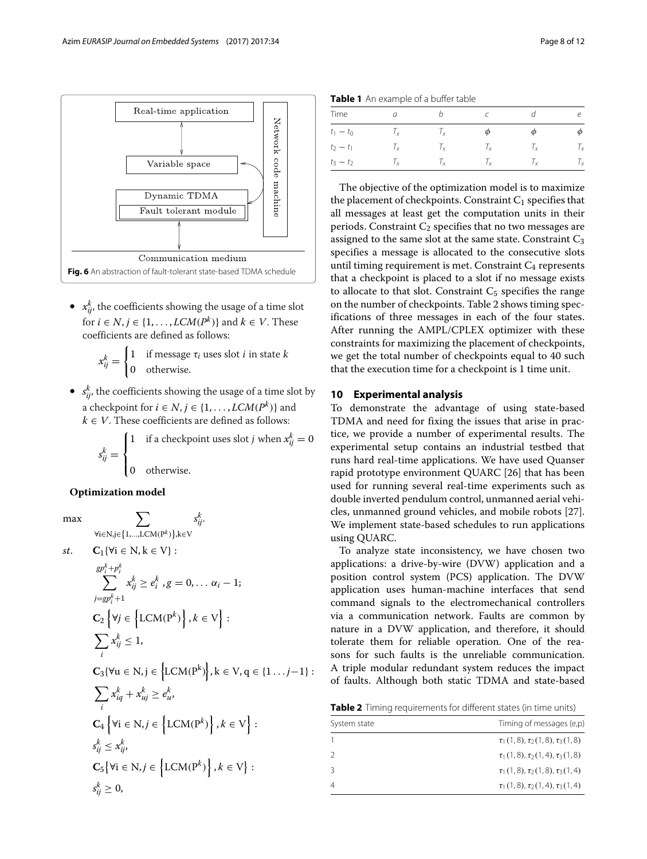

<span id="page-7-2"></span>•  $x_{ij}^k$ , the coefficients showing the usage of a time slot for  $i \in N$ ,  $j \in \{1, \ldots, LCM(P^k)\}\$  and  $k \in V$ . These coefficients are defined as follows:

$$
x_{ij}^k = \begin{cases} 1 & \text{if message } \tau_i \text{ uses slot } i \text{ in state } k \\ 0 & \text{otherwise.} \end{cases}
$$

•  $s_{ij}^k$ , the coefficients showing the usage of a time slot by a checkpoint for  $i \in N$ ,  $j \in \{1, \ldots, LCM(P^k)\}$  and  $k \in V$ . These coefficients are defined as follows:

$$
s_{ij}^k = \begin{cases} 1 & \text{if a checkpoint uses slot } j \text{ when } x_{ij}^k = 0 \\ 0 & \text{otherwise.} \end{cases}
$$

*s k ij*.

#### **Optimization model**

 $max$ 

$$
\sum_{\forall i \in N, j \in \{1, \dots, LCM(P^k)\}, k \in V}
$$

 $\sqrt{}$ 

*st.*  $C_1$ {∀i ∈ N,  $k \in V$ }:

$$
g p_i^k + p_i^k
$$
  
\n
$$
\sum_{j=gp_i^k + 1}^{g p_i^k + P_i^k} x_{ij}^k \ge e_i^k, g = 0, ..., \alpha_i - 1;
$$
  
\n
$$
C_2 \{\forall j \in \{LCM(P^k)\}, k \in V\} :
$$
  
\n
$$
\sum_i x_{ij}^k \le 1,
$$
  
\n
$$
C_3 \{\forall u \in N, j \in \{LCM(P^k)\}, k \in V, q \in \{1...j-1\} :
$$
  
\n
$$
\sum_i x_{iq}^k + x_{uj}^k \ge e_{u}^k,
$$
  
\n
$$
C_4 \{\forall i \in N, j \in \{LCM(P^k)\}, k \in V\} :
$$
  
\n
$$
s_{ij}^k \le x_{ij}^k,
$$
  
\n
$$
C_5 \{\forall i \in N, j \in \{LCM(P^k)\}, k \in V\} :
$$
  
\n
$$
s_{ij}^k \ge 0,
$$

**Table 1** An example of a buffer table

<span id="page-7-1"></span>

| Time        | а             |     |     |     | e              |  |  |
|-------------|---------------|-----|-----|-----|----------------|--|--|
| $t_1 - t_0$ | 1 x           | l v | Φ   | Φ   | φ              |  |  |
| $t_2 - t_1$ | $l_x$         | l v | Iv. | Ιv  | Т,             |  |  |
| $t_3 - t_2$ | $\frac{1}{x}$ | l v | l v | l v | T <sub>x</sub> |  |  |

The objective of the optimization model is to maximize the placement of checkpoints. Constraint  $C_1$  specifies that all messages at least get the computation units in their periods. Constraint  $C_2$  specifies that no two messages are assigned to the same slot at the same state. Constraint  $C_3$ specifies a message is allocated to the consecutive slots until timing requirement is met. Constraint  $C_4$  represents that a checkpoint is placed to a slot if no message exists to allocate to that slot. Constraint  $C_5$  specifies the range on the number of checkpoints. Table [2](#page-7-3) shows timing specifications of three messages in each of the four states. After running the AMPL/CPLEX optimizer with these constraints for maximizing the placement of checkpoints, we get the total number of checkpoints equal to 40 such that the execution time for a checkpoint is 1 time unit.

#### <span id="page-7-0"></span>**10 Experimental analysis**

To demonstrate the advantage of using state-based TDMA and need for fixing the issues that arise in practice, we provide a number of experimental results. The experimental setup contains an industrial testbed that runs hard real-time applications. We have used Quanser rapid prototype environment QUARC [\[26\]](#page-11-25) that has been used for running several real-time experiments such as double inverted pendulum control, unmanned aerial vehicles, unmanned ground vehicles, and mobile robots [\[27\]](#page-11-26). We implement state-based schedules to run applications using QUARC.

To analyze state inconsistency, we have chosen two applications: a drive-by-wire (DVW) application and a position control system (PCS) application. The DVW application uses human-machine interfaces that send command signals to the electromechanical controllers via a communication network. Faults are common by nature in a DVW application, and therefore, it should tolerate them for reliable operation. One of the reasons for such faults is the unreliable communication. A triple modular redundant system reduces the impact of faults. Although both static TDMA and state-based

<span id="page-7-3"></span>**Table 2** Timing requirements for different states (in time units)

| System state | Timing of messages (e,p)                |
|--------------|-----------------------------------------|
|              | $\tau_1(1,8), \tau_2(1,8), \tau_3(1,8)$ |
|              | $\tau_1(1,8), \tau_2(1,4), \tau_3(1,8)$ |
|              | $\tau_1(1,8), \tau_2(1,8), \tau_3(1,4)$ |
|              | $\tau_1(1,8), \tau_2(1,4), \tau_3(1,4)$ |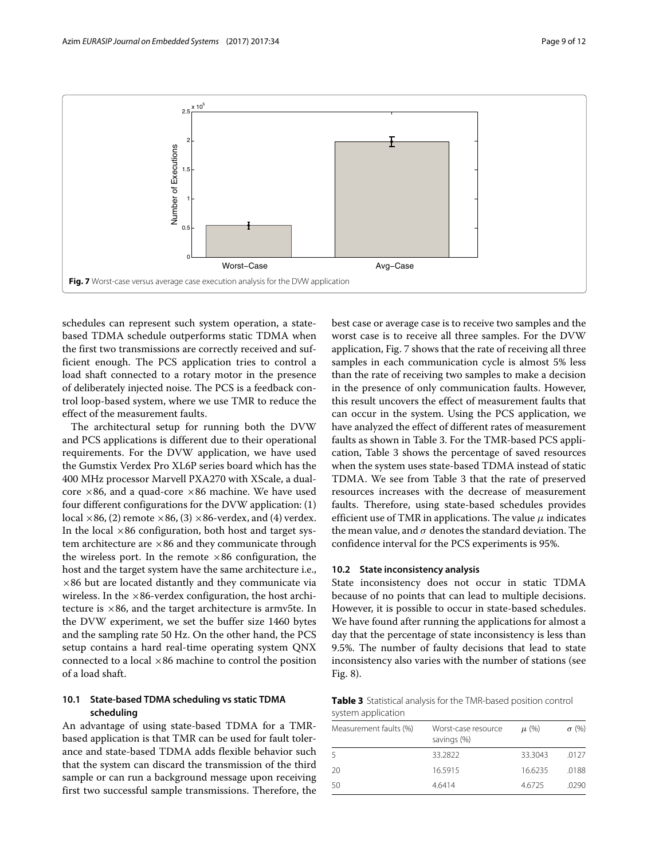

<span id="page-8-0"></span>schedules can represent such system operation, a statebased TDMA schedule outperforms static TDMA when the first two transmissions are correctly received and sufficient enough. The PCS application tries to control a load shaft connected to a rotary motor in the presence of deliberately injected noise. The PCS is a feedback control loop-based system, where we use TMR to reduce the effect of the measurement faults.

The architectural setup for running both the DVW and PCS applications is different due to their operational requirements. For the DVW application, we have used the Gumstix Verdex Pro XL6P series board which has the 400 MHz processor Marvell PXA270 with XScale, a dualcore  $\times 86$ , and a quad-core  $\times 86$  machine. We have used four different configurations for the DVW application: (1) local  $\times 86$ , (2) remote  $\times 86$ , (3)  $\times 86$ -verdex, and (4) verdex. In the local  $\times 86$  configuration, both host and target system architecture are  $\times 86$  and they communicate through the wireless port. In the remote  $\times 86$  configuration, the host and the target system have the same architecture i.e.,  $\times$ 86 but are located distantly and they communicate via wireless. In the  $\times$ 86-verdex configuration, the host architecture is  $\times 86$ , and the target architecture is armv5te. In the DVW experiment, we set the buffer size 1460 bytes and the sampling rate 50 Hz. On the other hand, the PCS setup contains a hard real-time operating system QNX connected to a local  $\times 86$  machine to control the position of a load shaft.

### **10.1 State-based TDMA scheduling vs static TDMA scheduling**

An advantage of using state-based TDMA for a TMRbased application is that TMR can be used for fault tolerance and state-based TDMA adds flexible behavior such that the system can discard the transmission of the third sample or can run a background message upon receiving first two successful sample transmissions. Therefore, the

best case or average case is to receive two samples and the worst case is to receive all three samples. For the DVW application, Fig. [7](#page-8-0) shows that the rate of receiving all three samples in each communication cycle is almost 5% less than the rate of receiving two samples to make a decision in the presence of only communication faults. However, this result uncovers the effect of measurement faults that can occur in the system. Using the PCS application, we have analyzed the effect of different rates of measurement faults as shown in Table [3.](#page-8-1) For the TMR-based PCS application, Table [3](#page-8-1) shows the percentage of saved resources when the system uses state-based TDMA instead of static TDMA. We see from Table [3](#page-8-1) that the rate of preserved resources increases with the decrease of measurement faults. Therefore, using state-based schedules provides efficient use of TMR in applications. The value  $\mu$  indicates the mean value, and  $\sigma$  denotes the standard deviation. The confidence interval for the PCS experiments is 95%.

#### **10.2 State inconsistency analysis**

State inconsistency does not occur in static TDMA because of no points that can lead to multiple decisions. However, it is possible to occur in state-based schedules. We have found after running the applications for almost a day that the percentage of state inconsistency is less than 9.5%. The number of faulty decisions that lead to state inconsistency also varies with the number of stations (see Fig. [8\)](#page-9-0).

<span id="page-8-1"></span>**Table 3** Statistical analysis for the TMR-based position control system application

| Measurement faults (%) | Worst-case resource<br>savings (%) | $\mu$ (%) | $\sigma$ (%) |  |  |  |
|------------------------|------------------------------------|-----------|--------------|--|--|--|
| 5                      | 33.2822                            | 33.3043   | .0127        |  |  |  |
| 20                     | 16.5915                            | 16.6235   | .0188        |  |  |  |
| 50                     | 4.6414                             | 4.6725    | .0290        |  |  |  |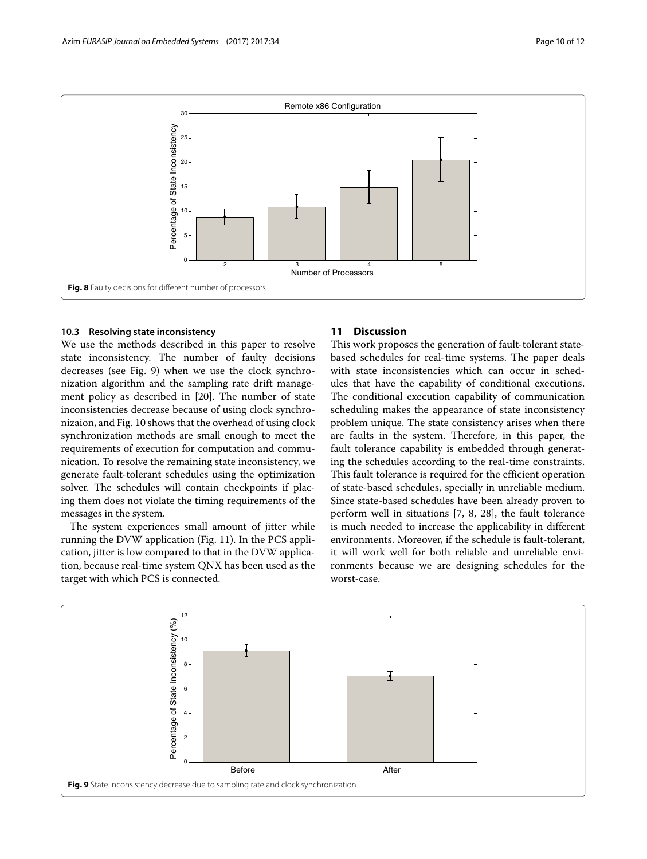

#### <span id="page-9-0"></span>**10.3 Resolving state inconsistency**

We use the methods described in this paper to resolve state inconsistency. The number of faulty decisions decreases (see Fig. [9\)](#page-9-1) when we use the clock synchronization algorithm and the sampling rate drift management policy as described in [\[20\]](#page-11-19). The number of state inconsistencies decrease because of using clock synchronizaion, and Fig. [10](#page-10-2) shows that the overhead of using clock synchronization methods are small enough to meet the requirements of execution for computation and communication. To resolve the remaining state inconsistency, we generate fault-tolerant schedules using the optimization solver. The schedules will contain checkpoints if placing them does not violate the timing requirements of the messages in the system.

The system experiences small amount of jitter while running the DVW application (Fig. [11\)](#page-10-3). In the PCS application, jitter is low compared to that in the DVW application, because real-time system QNX has been used as the target with which PCS is connected.

#### **11 Discussion**

This work proposes the generation of fault-tolerant statebased schedules for real-time systems. The paper deals with state inconsistencies which can occur in schedules that have the capability of conditional executions. The conditional execution capability of communication scheduling makes the appearance of state inconsistency problem unique. The state consistency arises when there are faults in the system. Therefore, in this paper, the fault tolerance capability is embedded through generating the schedules according to the real-time constraints. This fault tolerance is required for the efficient operation of state-based schedules, specially in unreliable medium. Since state-based schedules have been already proven to perform well in situations [\[7,](#page-11-6) [8,](#page-11-7) [28\]](#page-11-27), the fault tolerance is much needed to increase the applicability in different environments. Moreover, if the schedule is fault-tolerant, it will work well for both reliable and unreliable environments because we are designing schedules for the worst-case.

<span id="page-9-1"></span>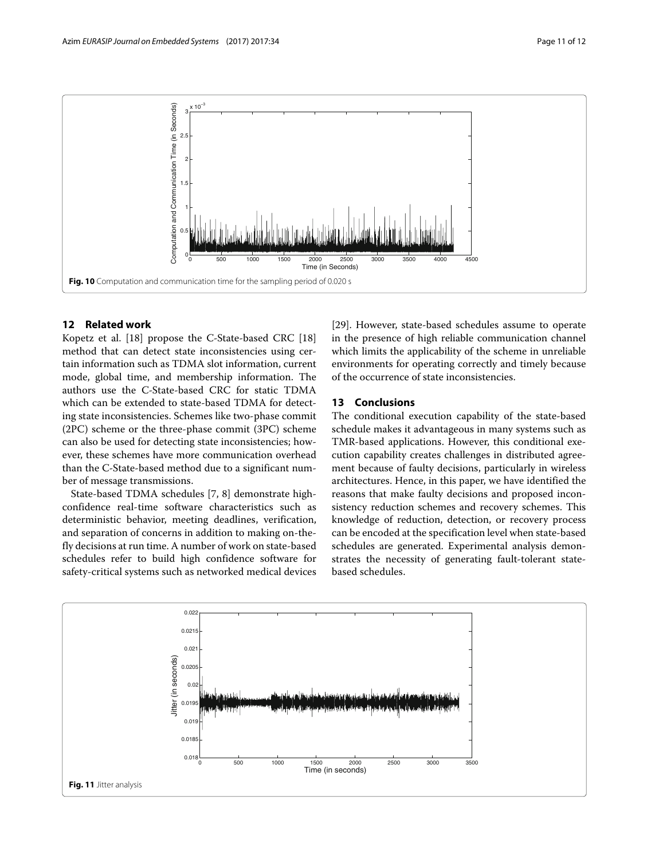

#### <span id="page-10-2"></span><span id="page-10-0"></span>**12 Related work**

Kopetz et al. [\[18\]](#page-11-17) propose the C-State-based CRC [\[18\]](#page-11-17) method that can detect state inconsistencies using certain information such as TDMA slot information, current mode, global time, and membership information. The authors use the C-State-based CRC for static TDMA which can be extended to state-based TDMA for detecting state inconsistencies. Schemes like two-phase commit (2PC) scheme or the three-phase commit (3PC) scheme can also be used for detecting state inconsistencies; however, these schemes have more communication overhead than the C-State-based method due to a significant number of message transmissions.

State-based TDMA schedules [\[7,](#page-11-6) [8\]](#page-11-7) demonstrate highconfidence real-time software characteristics such as deterministic behavior, meeting deadlines, verification, and separation of concerns in addition to making on-thefly decisions at run time. A number of work on state-based schedules refer to build high confidence software for safety-critical systems such as networked medical devices [\[29\]](#page-11-28). However, state-based schedules assume to operate in the presence of high reliable communication channel which limits the applicability of the scheme in unreliable environments for operating correctly and timely because of the occurrence of state inconsistencies.

### <span id="page-10-1"></span>**13 Conclusions**

The conditional execution capability of the state-based schedule makes it advantageous in many systems such as TMR-based applications. However, this conditional execution capability creates challenges in distributed agreement because of faulty decisions, particularly in wireless architectures. Hence, in this paper, we have identified the reasons that make faulty decisions and proposed inconsistency reduction schemes and recovery schemes. This knowledge of reduction, detection, or recovery process can be encoded at the specification level when state-based schedules are generated. Experimental analysis demonstrates the necessity of generating fault-tolerant statebased schedules.

<span id="page-10-3"></span>